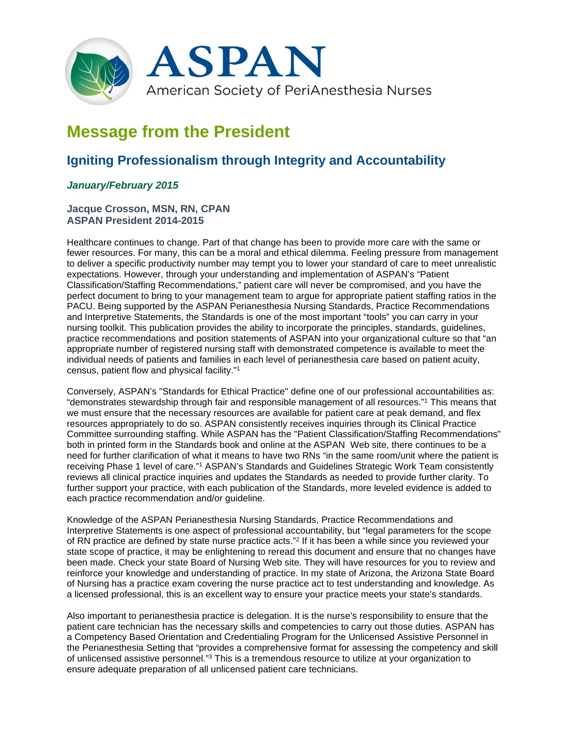

# **Message from the President**

# **Igniting Professionalism through Integrity and Accountability**

## *January/February 2015*

### **Jacque Crosson, MSN, RN, CPAN ASPAN President 2014-2015**

Healthcare continues to change. Part of that change has been to provide more care with the same or fewer resources. For many, this can be a moral and ethical dilemma. Feeling pressure from management to deliver a specific productivity number may tempt you to lower your standard of care to meet unrealistic expectations. However, through your understanding and implementation of ASPAN's "Patient Classification/Staffing Recommendations," patient care will never be compromised, and you have the perfect document to bring to your management team to argue for appropriate patient staffing ratios in the PACU. Being supported by the ASPAN Perianesthesia Nursing Standards, Practice Recommendations and Interpretive Statements, the Standards is one of the most important "tools" you can carry in your nursing toolkit. This publication provides the ability to incorporate the principles, standards, guidelines, practice recommendations and position statements of ASPAN into your organizational culture so that "an appropriate number of registered nursing staff with demonstrated competence is available to meet the individual needs of patients and families in each level of perianesthesia care based on patient acuity, census, patient flow and physical facility."1

Conversely, ASPAN's "Standards for Ethical Practice" define one of our professional accountabilities as: "demonstrates stewardship through fair and responsible management of all resources."1 This means that we must ensure that the necessary resources are available for patient care at peak demand, and flex resources appropriately to do so. ASPAN consistently receives inquiries through its Clinical Practice Committee surrounding staffing. While ASPAN has the "Patient Classification/Staffing Recommendations" both in printed form in the Standards book and online at the ASPAN Web site, there continues to be a need for further clarification of what it means to have two RNs "in the same room/unit where the patient is receiving Phase 1 level of care."1 ASPAN's Standards and Guidelines Strategic Work Team consistently reviews all clinical practice inquiries and updates the Standards as needed to provide further clarity. To further support your practice, with each publication of the Standards, more leveled evidence is added to each practice recommendation and/or guideline.

Knowledge of the ASPAN Perianesthesia Nursing Standards, Practice Recommendations and Interpretive Statements is one aspect of professional accountability, but "legal parameters for the scope of RN practice are defined by state nurse practice acts."2 If it has been a while since you reviewed your state scope of practice, it may be enlightening to reread this document and ensure that no changes have been made. Check your state Board of Nursing Web site. They will have resources for you to review and reinforce your knowledge and understanding of practice. In my state of Arizona, the Arizona State Board of Nursing has a practice exam covering the nurse practice act to test understanding and knowledge. As a licensed professional, this is an excellent way to ensure your practice meets your state's standards.

Also important to perianesthesia practice is delegation. It is the nurse's responsibility to ensure that the patient care technician has the necessary skills and competencies to carry out those duties. ASPAN has a Competency Based Orientation and Credentialing Program for the Unlicensed Assistive Personnel in the Perianesthesia Setting that "provides a comprehensive format for assessing the competency and skill of unlicensed assistive personnel."3 This is a tremendous resource to utilize at your organization to ensure adequate preparation of all unlicensed patient care technicians.